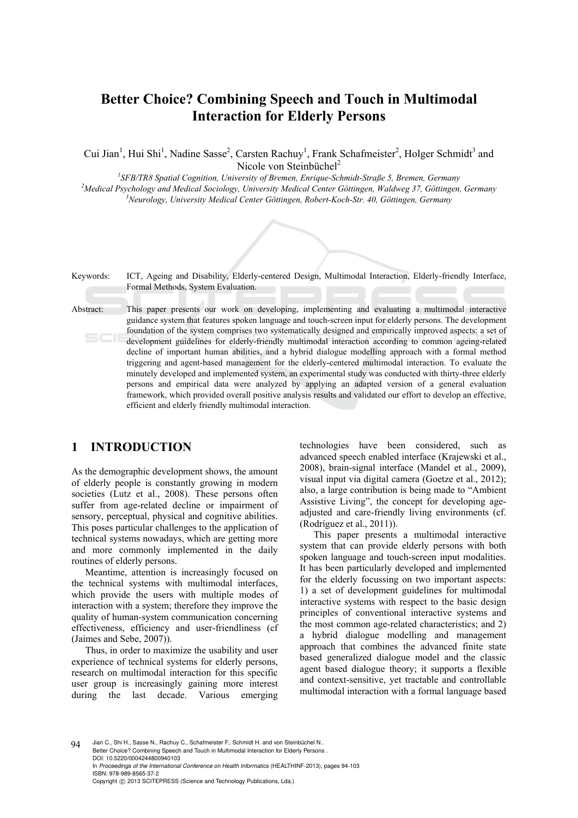# **Better Choice? Combining Speech and Touch in Multimodal Interaction for Elderly Persons**

Cui Jian<sup>1</sup>, Hui Shi<sup>1</sup>, Nadine Sasse<sup>2</sup>, Carsten Rachuy<sup>1</sup>, Frank Schafmeister<sup>2</sup>, Holger Schmidt<sup>3</sup> and Nicole von Steinbüchel<sup>2</sup>

<sup>1</sup> SFB/TR8 Spatial Cognition, University of Bremen, Enrique-Schmidt-Straße 5, Bremen, Germany<br><sup>2</sup>Mediael Brushelsen, and Mediael Seciolecy, University Mediael Center Cëttineer, Weldwas 27, Cëttineer <sup>2</sup> Medical Psychology and Medical Sociology, University Medical Center Göttingen, Waldweg 37, Göttingen, Germany *Neurology, University Medical Center Göttingen, Robert-Koch-Str. 40, Göttingen, Germany* 

Keywords: ICT, Ageing and Disability, Elderly-centered Design, Multimodal Interaction, Elderly-friendly Interface, Formal Methods, System Evaluation. Abstract: This paper presents our work on developing, implementing and evaluating a multimodal interactive guidance system that features spoken language and touch-screen input for elderly persons. The development foundation of the system comprises two systematically designed and empirically improved aspects: a set of development guidelines for elderly-friendly multimodal interaction according to common ageing-related decline of important human abilities, and a hybrid dialogue modelling approach with a formal method triggering and agent-based management for the elderly-centered multimodal interaction. To evaluate the minutely developed and implemented system, an experimental study was conducted with thirty-three elderly persons and empirical data were analyzed by applying an adapted version of a general evaluation framework, which provided overall positive analysis results and validated our effort to develop an effective, efficient and elderly friendly multimodal interaction.

# **1 INTRODUCTION**

As the demographic development shows, the amount of elderly people is constantly growing in modern societies (Lutz et al., 2008). These persons often suffer from age-related decline or impairment of sensory, perceptual, physical and cognitive abilities. This poses particular challenges to the application of technical systems nowadays, which are getting more and more commonly implemented in the daily routines of elderly persons.

Meantime, attention is increasingly focused on the technical systems with multimodal interfaces, which provide the users with multiple modes of interaction with a system; therefore they improve the quality of human-system communication concerning effectiveness, efficiency and user-friendliness (cf (Jaimes and Sebe, 2007)).

Thus, in order to maximize the usability and user experience of technical systems for elderly persons, research on multimodal interaction for this specific user group is increasingly gaining more interest during the last decade. Various emerging

technologies have been considered, such as advanced speech enabled interface (Krajewski et al., 2008), brain-signal interface (Mandel et al., 2009), visual input via digital camera (Goetze et al., 2012); also, a large contribution is being made to "Ambient Assistive Living", the concept for developing ageadjusted and care-friendly living environments (cf. (Rodríguez et al., 2011)).

This paper presents a multimodal interactive system that can provide elderly persons with both spoken language and touch-screen input modalities. It has been particularly developed and implemented for the elderly focussing on two important aspects: 1) a set of development guidelines for multimodal interactive systems with respect to the basic design principles of conventional interactive systems and the most common age-related characteristics; and 2) a hybrid dialogue modelling and management approach that combines the advanced finite state based generalized dialogue model and the classic agent based dialogue theory; it supports a flexible and context-sensitive, yet tractable and controllable multimodal interaction with a formal language based

94 Jian C., Shi H., Sasse N., Rachuy C., Schafmeister F., Schmidt H. and von Steinbüchel N.. Better Choice? Combining Speech and Touch in Multimodal Interaction for Elderly Persons . DOI: 10.5220/0004244800940103 In *Proceedings of the International Conference on Health Informatics* (HEALTHINF-2013), pages 94-103 ISBN: 978-989-8565-37-2 Copyright © 2013 SCITEPRESS (Science and Technology Publications, Lda.)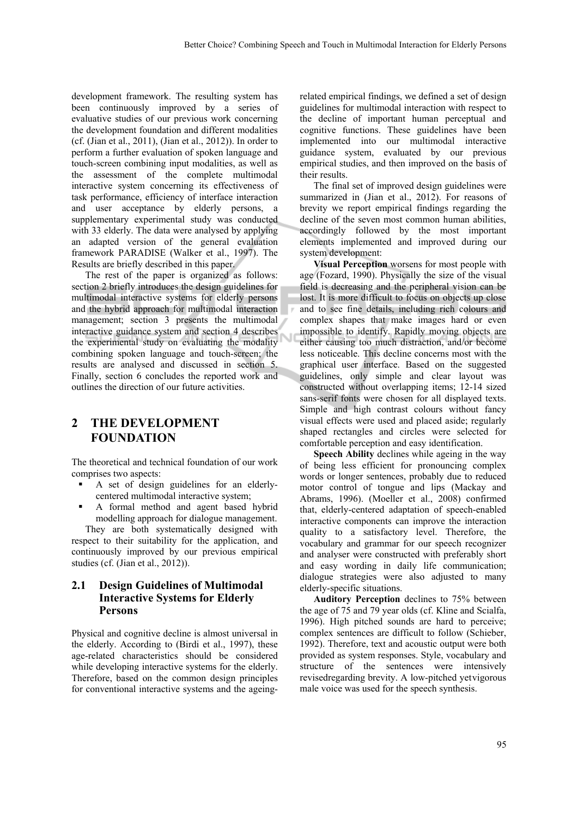development framework. The resulting system has been continuously improved by a series of evaluative studies of our previous work concerning the development foundation and different modalities (cf. (Jian et al., 2011), (Jian et al., 2012)). In order to perform a further evaluation of spoken language and touch-screen combining input modalities, as well as the assessment of the complete multimodal interactive system concerning its effectiveness of task performance, efficiency of interface interaction and user acceptance by elderly persons, a supplementary experimental study was conducted with 33 elderly. The data were analysed by applying an adapted version of the general evaluation framework PARADISE (Walker et al., 1997). The Results are briefly described in this paper.

The rest of the paper is organized as follows: section 2 briefly introduces the design guidelines for multimodal interactive systems for elderly persons and the hybrid approach for multimodal interaction management; section 3 presents the multimodal interactive guidance system and section 4 describes the experimental study on evaluating the modality combining spoken language and touch-screen; the results are analysed and discussed in section 5. Finally, section 6 concludes the reported work and outlines the direction of our future activities.

# **2 THE DEVELOPMENT FOUNDATION**

The theoretical and technical foundation of our work comprises two aspects:

- A set of design guidelines for an elderlycentered multimodal interactive system;
- A formal method and agent based hybrid modelling approach for dialogue management.

They are both systematically designed with respect to their suitability for the application, and continuously improved by our previous empirical studies (cf. (Jian et al., 2012)).

### **2.1 Design Guidelines of Multimodal Interactive Systems for Elderly Persons**

Physical and cognitive decline is almost universal in the elderly. According to (Birdi et al., 1997), these age-related characteristics should be considered while developing interactive systems for the elderly. Therefore, based on the common design principles for conventional interactive systems and the ageingrelated empirical findings, we defined a set of design guidelines for multimodal interaction with respect to the decline of important human perceptual and cognitive functions. These guidelines have been implemented into our multimodal interactive guidance system, evaluated by our previous empirical studies, and then improved on the basis of their results.

The final set of improved design guidelines were summarized in (Jian et al., 2012). For reasons of brevity we report empirical findings regarding the decline of the seven most common human abilities, accordingly followed by the most important elements implemented and improved during our system development:

**Visual Perception** worsens for most people with age (Fozard, 1990). Physically the size of the visual field is decreasing and the peripheral vision can be lost. It is more difficult to focus on objects up close and to see fine details, including rich colours and complex shapes that make images hard or even impossible to identify. Rapidly moving objects are either causing too much distraction, and/or become less noticeable. This decline concerns most with the graphical user interface. Based on the suggested guidelines, only simple and clear layout was constructed without overlapping items; 12-14 sized sans-serif fonts were chosen for all displayed texts. Simple and high contrast colours without fancy visual effects were used and placed aside; regularly shaped rectangles and circles were selected for comfortable perception and easy identification.

**Speech Ability** declines while ageing in the way of being less efficient for pronouncing complex words or longer sentences, probably due to reduced motor control of tongue and lips (Mackay and Abrams, 1996). (Moeller et al., 2008) confirmed that, elderly-centered adaptation of speech-enabled interactive components can improve the interaction quality to a satisfactory level. Therefore, the vocabulary and grammar for our speech recognizer and analyser were constructed with preferably short and easy wording in daily life communication; dialogue strategies were also adjusted to many elderly-specific situations.

**Auditory Perception** declines to 75% between the age of 75 and 79 year olds (cf. Kline and Scialfa, 1996). High pitched sounds are hard to perceive; complex sentences are difficult to follow (Schieber, 1992). Therefore, text and acoustic output were both provided as system responses. Style, vocabulary and structure of the sentences were intensively revisedregarding brevity. A low-pitched yetvigorous male voice was used for the speech synthesis.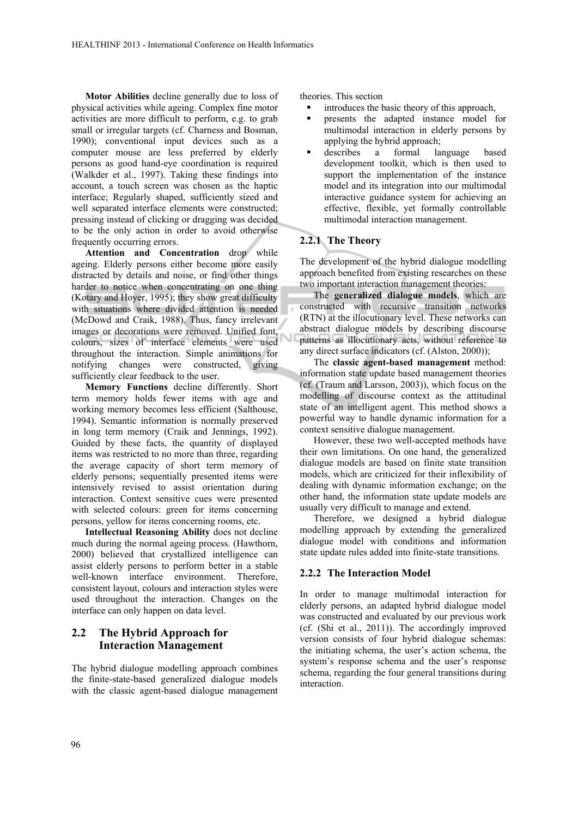**Motor Abilities** decline generally due to loss of physical activities while ageing. Complex fine motor activities are more difficult to perform, e.g. to grab small or irregular targets (cf. Charness and Bosman, 1990); conventional input devices such as a computer mouse are less preferred by elderly persons as good hand-eye coordination is required (Walkder et al., 1997). Taking these findings into account, a touch screen was chosen as the haptic interface; Regularly shaped, sufficiently sized and well separated interface elements were constructed; pressing instead of clicking or dragging was decided to be the only action in order to avoid otherwise frequently occurring errors.

**Attention and Concentration** drop while ageing. Elderly persons either become more easily distracted by details and noise, or find other things harder to notice when concentrating on one thing (Kotary and Hoyer, 1995); they show great difficulty with situations where divided attention is needed (McDowd and Craik, 1988). Thus, fancy irrelevant images or decorations were removed. Unified font, colours, sizes of interface elements were used throughout the interaction. Simple animations for notifying changes were constructed, giving sufficiently clear feedback to the user.

**Memory Functions** decline differently. Short term memory holds fewer items with age and working memory becomes less efficient (Salthouse, 1994). Semantic information is normally preserved in long term memory (Craik and Jennings, 1992). Guided by these facts, the quantity of displayed items was restricted to no more than three, regarding the average capacity of short term memory of elderly persons; sequentially presented items were intensively revised to assist orientation during interaction. Context sensitive cues were presented with selected colours: green for items concerning persons, yellow for items concerning rooms, etc.

**Intellectual Reasoning Ability** does not decline much during the normal ageing process. (Hawthorn, 2000) believed that crystallized intelligence can assist elderly persons to perform better in a stable well-known interface environment. Therefore, consistent layout, colours and interaction styles were used throughout the interaction. Changes on the interface can only happen on data level.

# **2.2 The Hybrid Approach for Interaction Management**

The hybrid dialogue modelling approach combines the finite-state-based generalized dialogue models with the classic agent-based dialogue management theories. This section

- $\blacksquare$  introduces the basic theory of this approach,
- presents the adapted instance model for multimodal interaction in elderly persons by applying the hybrid approach;
- describes a formal language based development toolkit, which is then used to support the implementation of the instance model and its integration into our multimodal interactive guidance system for achieving an effective, flexible, yet formally controllable multimodal interaction management.

#### **2.2.1 The Theory**

The development of the hybrid dialogue modelling approach benefited from existing researches on these two important interaction management theories:

The **generalized dialogue models**, which are constructed with recursive transition networks (RTN) at the illocutionary level. These networks can abstract dialogue models by describing discourse patterns as illocutionary acts, without reference to any direct surface indicators (cf. (Alston, 2000));

The **classic agent-based management** method: information state update based management theories (cf. (Traum and Larsson, 2003)), which focus on the modelling of discourse context as the attitudinal state of an intelligent agent. This method shows a powerful way to handle dynamic information for a context sensitive dialogue management.

However, these two well-accepted methods have their own limitations. On one hand, the generalized dialogue models are based on finite state transition models, which are criticized for their inflexibility of dealing with dynamic information exchange; on the other hand, the information state update models are usually very difficult to manage and extend.

Therefore, we designed a hybrid dialogue modelling approach by extending the generalized dialogue model with conditions and information state update rules added into finite-state transitions.

#### **2.2.2 The Interaction Model**

In order to manage multimodal interaction for elderly persons, an adapted hybrid dialogue model was constructed and evaluated by our previous work (cf. (Shi et al., 2011)). The accordingly improved version consists of four hybrid dialogue schemas: the initiating schema, the user's action schema, the system's response schema and the user's response schema, regarding the four general transitions during interaction.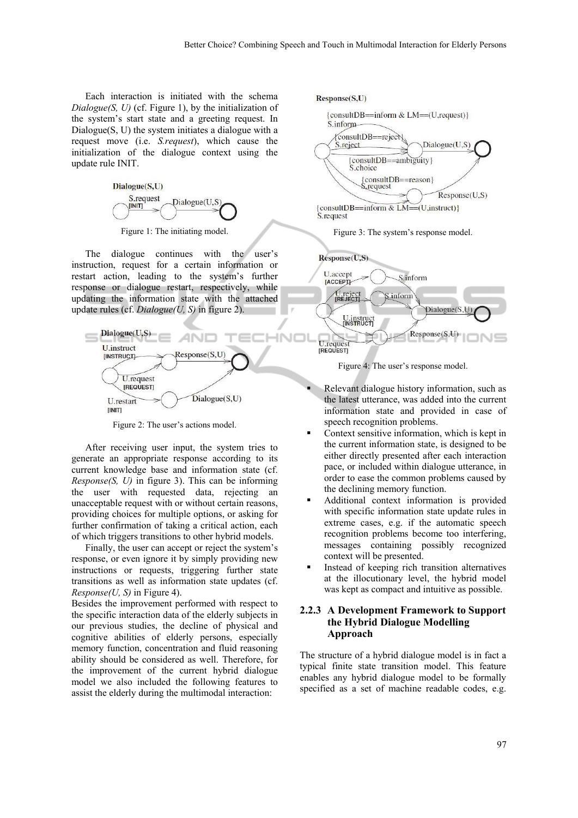Each interaction is initiated with the schema *Dialogue(S, U)* (cf. Figure 1), by the initialization of the system's start state and a greeting request. In Dialogue(S, U) the system initiates a dialogue with a request move (i.e. *S.request*), which cause the initialization of the dialogue context using the update rule INIT.



Figure 1: The initiating model.

The dialogue continues with the user's instruction, request for a certain information or restart action, leading to the system's further response or dialogue restart, respectively, while updating the information state with the attached update rules (cf. *Dialogue(U, S)* in figure 2).



Figure 2: The user's actions model.

After receiving user input, the system tries to generate an appropriate response according to its current knowledge base and information state (cf. *Response(S, U)* in figure 3). This can be informing the user with requested data, rejecting an unacceptable request with or without certain reasons, providing choices for multiple options, or asking for further confirmation of taking a critical action, each of which triggers transitions to other hybrid models.

Finally, the user can accept or reject the system's response, or even ignore it by simply providing new instructions or requests, triggering further state transitions as well as information state updates (cf. *Response(U, S)* in Figure 4).

Besides the improvement performed with respect to the specific interaction data of the elderly subjects in our previous studies, the decline of physical and cognitive abilities of elderly persons, especially memory function, concentration and fluid reasoning ability should be considered as well. Therefore, for the improvement of the current hybrid dialogue model we also included the following features to assist the elderly during the multimodal interaction:



Figure 3: The system's response model.



Figure 4: The user's response model.

- Relevant dialogue history information, such as the latest utterance, was added into the current information state and provided in case of speech recognition problems.
- Context sensitive information, which is kept in the current information state, is designed to be either directly presented after each interaction pace, or included within dialogue utterance, in order to ease the common problems caused by the declining memory function.
- Additional context information is provided with specific information state update rules in extreme cases, e.g. if the automatic speech recognition problems become too interfering, messages containing possibly recognized context will be presented.
- Instead of keeping rich transition alternatives at the illocutionary level, the hybrid model was kept as compact and intuitive as possible.

#### **2.2.3 A Development Framework to Support the Hybrid Dialogue Modelling Approach**

The structure of a hybrid dialogue model is in fact a typical finite state transition model. This feature enables any hybrid dialogue model to be formally specified as a set of machine readable codes, e.g.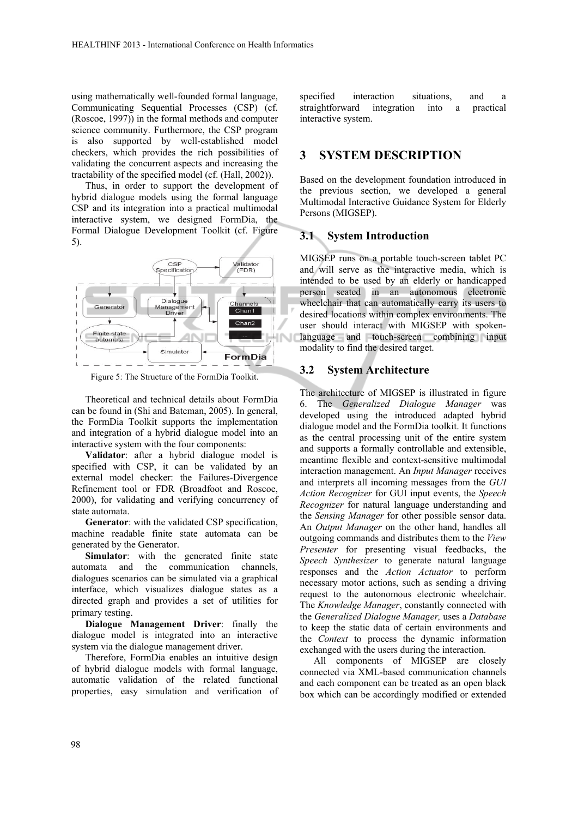using mathematically well-founded formal language, Communicating Sequential Processes (CSP) (cf. (Roscoe, 1997)) in the formal methods and computer science community. Furthermore, the CSP program is also supported by well-established model checkers, which provides the rich possibilities of validating the concurrent aspects and increasing the tractability of the specified model (cf. (Hall, 2002)).

Thus, in order to support the development of hybrid dialogue models using the formal language CSP and its integration into a practical multimodal interactive system, we designed FormDia, the Formal Dialogue Development Toolkit (cf. Figure 5).



Figure 5: The Structure of the FormDia Toolkit.

Theoretical and technical details about FormDia can be found in (Shi and Bateman, 2005). In general, the FormDia Toolkit supports the implementation and integration of a hybrid dialogue model into an interactive system with the four components:

**Validator**: after a hybrid dialogue model is specified with CSP, it can be validated by an external model checker: the Failures-Divergence Refinement tool or FDR (Broadfoot and Roscoe, 2000), for validating and verifying concurrency of state automata.

**Generator**: with the validated CSP specification, machine readable finite state automata can be generated by the Generator.

**Simulator**: with the generated finite state automata and the communication channels, dialogues scenarios can be simulated via a graphical interface, which visualizes dialogue states as a directed graph and provides a set of utilities for primary testing.

**Dialogue Management Driver**: finally the dialogue model is integrated into an interactive system via the dialogue management driver.

Therefore, FormDia enables an intuitive design of hybrid dialogue models with formal language, automatic validation of the related functional properties, easy simulation and verification of

specified interaction situations, and a straightforward integration into a practical interactive system.

## **3 SYSTEM DESCRIPTION**

Based on the development foundation introduced in the previous section, we developed a general Multimodal Interactive Guidance System for Elderly Persons (MIGSEP).

#### **3.1 System Introduction**

MIGSEP runs on a portable touch-screen tablet PC and will serve as the interactive media, which is intended to be used by an elderly or handicapped person seated in an autonomous electronic wheelchair that can automatically carry its users to desired locations within complex environments. The user should interact with MIGSEP with spokenlanguage and touch-screen combining input modality to find the desired target.

#### **3.2 System Architecture**

The architecture of MIGSEP is illustrated in figure 6. The *Generalized Dialogue Manager* was developed using the introduced adapted hybrid dialogue model and the FormDia toolkit. It functions as the central processing unit of the entire system and supports a formally controllable and extensible, meantime flexible and context-sensitive multimodal interaction management. An *Input Manager* receives and interprets all incoming messages from the *GUI Action Recognizer* for GUI input events, the *Speech Recognizer* for natural language understanding and the *Sensing Manager* for other possible sensor data. An *Output Manager* on the other hand, handles all outgoing commands and distributes them to the *View Presenter* for presenting visual feedbacks, the *Speech Synthesizer* to generate natural language responses and the *Action Actuator* to perform necessary motor actions, such as sending a driving request to the autonomous electronic wheelchair. The *Knowledge Manager*, constantly connected with the *Generalized Dialogue Manager,* uses a *Database* to keep the static data of certain environments and the *Context* to process the dynamic information exchanged with the users during the interaction.

All components of MIGSEP are closely connected via XML-based communication channels and each component can be treated as an open black box which can be accordingly modified or extended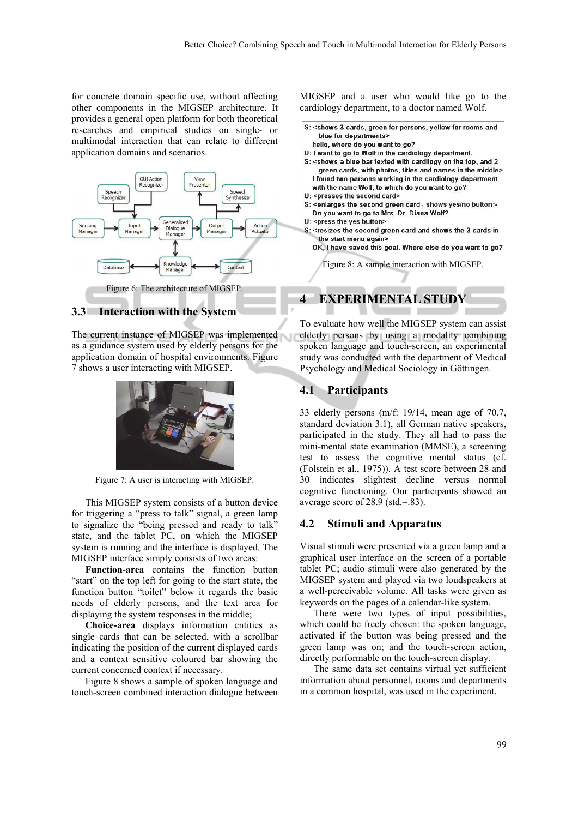for concrete domain specific use, without affecting other components in the MIGSEP architecture. It provides a general open platform for both theoretical researches and empirical studies on single- or multimodal interaction that can relate to different application domains and scenarios.



#### **3.3 Interaction with the System**

The current instance of MIGSEP was implemented as a guidance system used by elderly persons for the application domain of hospital environments. Figure 7 shows a user interacting with MIGSEP.



Figure 7: A user is interacting with MIGSEP.

This MIGSEP system consists of a button device for triggering a "press to talk" signal, a green lamp to signalize the "being pressed and ready to talk" state, and the tablet PC, on which the MIGSEP system is running and the interface is displayed. The MIGSEP interface simply consists of two areas:

**Function-area** contains the function button "start" on the top left for going to the start state, the function button "toilet" below it regards the basic needs of elderly persons, and the text area for displaying the system responses in the middle;

**Choice-area** displays information entities as single cards that can be selected, with a scrollbar indicating the position of the current displayed cards and a context sensitive coloured bar showing the current concerned context if necessary.

Figure 8 shows a sample of spoken language and touch-screen combined interaction dialogue between

MIGSEP and a user who would like go to the cardiology department, to a doctor named Wolf.

- S: < shows 3 cards, green for persons, yellow for rooms and blue for departments>
	- hello, where do you want to go?
- U: I want to go to Wolf in the cardiology department.
- S: < shows a blue bar texted with cardilogy on the top, and 2 green cards, with photos, titles and names in the middle> I found two persons working in the cardiology department with the name Wolf, to which do you want to go?
- U: < presses the second card>
- 
- S: <enlarges the second green card, shows yes/no button> Do you want to go to Mrs. Dr. Diana Wolf?
- U: < press the yes button>
- S: <resizes the second green card and shows the 3 cards in the start menu again>

OK, I have saved this goal. Where else do you want to go?

Figure 8: A sample interaction with MIGSEP.

### **4 EXPERIMENTAL STUDY**

To evaluate how well the MIGSEP system can assist elderly persons by using a modality combining spoken language and touch-screen, an experimental study was conducted with the department of Medical Psychology and Medical Sociology in Göttingen.

#### **4.1 Participants**

33 elderly persons (m/f: 19/14, mean age of 70.7, standard deviation 3.1), all German native speakers, participated in the study. They all had to pass the mini-mental state examination (MMSE), a screening test to assess the cognitive mental status (cf. (Folstein et al., 1975)). A test score between 28 and 30 indicates slightest decline versus normal cognitive functioning. Our participants showed an average score of 28.9 (std.=.83).

#### **4.2 Stimuli and Apparatus**

Visual stimuli were presented via a green lamp and a graphical user interface on the screen of a portable tablet PC; audio stimuli were also generated by the MIGSEP system and played via two loudspeakers at a well-perceivable volume. All tasks were given as keywords on the pages of a calendar-like system.

There were two types of input possibilities, which could be freely chosen: the spoken language, activated if the button was being pressed and the green lamp was on; and the touch-screen action, directly performable on the touch-screen display.

The same data set contains virtual yet sufficient information about personnel, rooms and departments in a common hospital, was used in the experiment.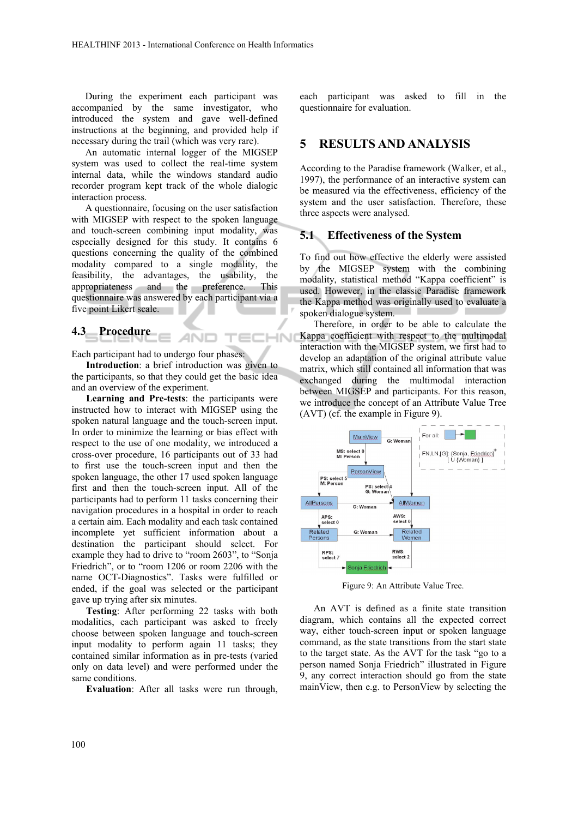During the experiment each participant was accompanied by the same investigator, who introduced the system and gave well-defined instructions at the beginning, and provided help if necessary during the trail (which was very rare).

An automatic internal logger of the MIGSEP system was used to collect the real-time system internal data, while the windows standard audio recorder program kept track of the whole dialogic interaction process.

A questionnaire, focusing on the user satisfaction with MIGSEP with respect to the spoken language and touch-screen combining input modality, was especially designed for this study. It contains 6 questions concerning the quality of the combined modality compared to a single modality, the feasibility, the advantages, the usability, the appropriateness and the preference. This questionnaire was answered by each participant via a five point Likert scale.

### **4.3 Procedure**

Each participant had to undergo four phases:

**Introduction**: a brief introduction was given to the participants, so that they could get the basic idea and an overview of the experiment.

ANO

 $\overline{\mathsf{M}}$ 

**Learning and Pre-tests**: the participants were instructed how to interact with MIGSEP using the spoken natural language and the touch-screen input. In order to minimize the learning or bias effect with respect to the use of one modality, we introduced a cross-over procedure, 16 participants out of 33 had to first use the touch-screen input and then the spoken language, the other 17 used spoken language first and then the touch-screen input. All of the participants had to perform 11 tasks concerning their navigation procedures in a hospital in order to reach a certain aim. Each modality and each task contained incomplete yet sufficient information about a destination the participant should select. For example they had to drive to "room 2603", to "Sonja Friedrich", or to "room 1206 or room 2206 with the name OCT-Diagnostics". Tasks were fulfilled or ended, if the goal was selected or the participant gave up trying after six minutes.

**Testing**: After performing 22 tasks with both modalities, each participant was asked to freely choose between spoken language and touch-screen input modality to perform again 11 tasks; they contained similar information as in pre-tests (varied only on data level) and were performed under the same conditions.

**Evaluation**: After all tasks were run through,

each participant was asked to fill in the questionnaire for evaluation.

### **5 RESULTS AND ANALYSIS**

According to the Paradise framework (Walker, et al., 1997), the performance of an interactive system can be measured via the effectiveness, efficiency of the system and the user satisfaction. Therefore, these three aspects were analysed.

#### **5.1 Effectiveness of the System**

To find out how effective the elderly were assisted by the MIGSEP system with the combining modality, statistical method "Kappa coefficient" is used. However, in the classic Paradise framework the Kappa method was originally used to evaluate a spoken dialogue system.

Therefore, in order to be able to calculate the Kappa coefficient with respect to the multimodal interaction with the MIGSEP system, we first had to develop an adaptation of the original attribute value matrix, which still contained all information that was exchanged during the multimodal interaction between MIGSEP and participants. For this reason, we introduce the concept of an Attribute Value Tree (AVT) (cf. the example in Figure 9).



Figure 9: An Attribute Value Tree.

An AVT is defined as a finite state transition diagram, which contains all the expected correct way, either touch-screen input or spoken language command, as the state transitions from the start state to the target state. As the AVT for the task "go to a person named Sonja Friedrich" illustrated in Figure 9, any correct interaction should go from the state mainView, then e.g. to PersonView by selecting the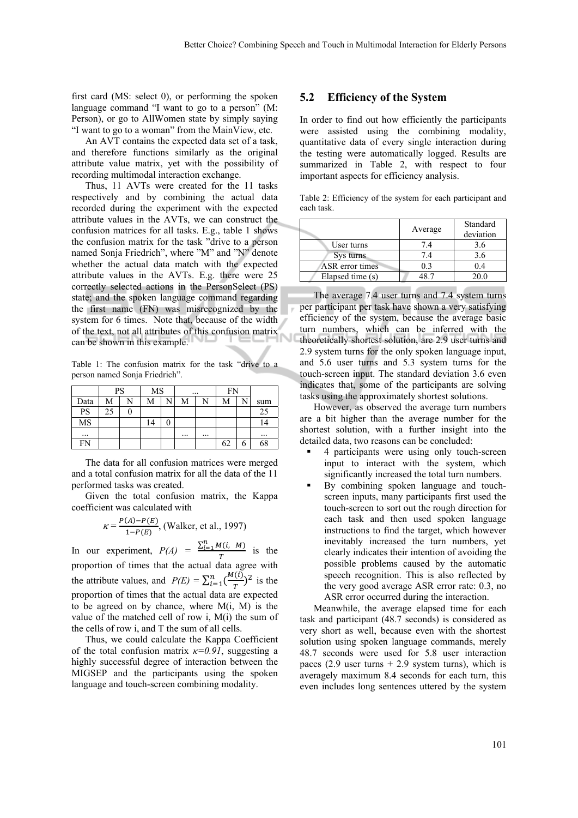first card (MS: select 0), or performing the spoken language command "I want to go to a person" (M: Person), or go to AllWomen state by simply saying "I want to go to a woman" from the MainView, etc.

An AVT contains the expected data set of a task, and therefore functions similarly as the original attribute value matrix, yet with the possibility of recording multimodal interaction exchange.

Thus, 11 AVTs were created for the 11 tasks respectively and by combining the actual data recorded during the experiment with the expected attribute values in the AVTs, we can construct the confusion matrices for all tasks. E.g., table 1 shows the confusion matrix for the task "drive to a person named Sonja Friedrich", where "M" and "N" denote whether the actual data match with the expected attribute values in the AVTs. E.g. there were 25 correctly selected actions in the PersonSelect (PS) state; and the spoken language command regarding the first name (FN) was misrecognized by the system for 6 times. Note that, because of the width of the text, not all attributes of this confusion matrix can be shown in this example.

Table 1: The confusion matrix for the task "drive to a person named Sonja Friedrich".

|          | PS |  | <b>MS</b> |  | $\cdots$ |  | <b>FN</b> |   |     |
|----------|----|--|-----------|--|----------|--|-----------|---|-----|
| Data     | М  |  | M         |  | М        |  | M         |   | sum |
| PS       | 25 |  |           |  |          |  |           |   | 25  |
| MS       |    |  |           |  |          |  |           |   | ι4  |
| $\cdots$ |    |  |           |  | $\cdots$ |  |           |   |     |
| FN       |    |  |           |  |          |  | 62        | n | 58  |

The data for all confusion matrices were merged and a total confusion matrix for all the data of the 11 performed tasks was created.

Given the total confusion matrix, the Kappa coefficient was calculated with

$$
\kappa = \frac{P(A) - P(E)}{1 - P(E)}
$$
, (Walker, et al., 1997)

In our experiment,  $P(A) = \frac{\sum_{i=1}^{n} M(i, M)}{m}$  $\frac{T(t, h)}{T}$  is the proportion of times that the actual data agree with the attribute values, and  $P(E) = \sum_{i=1}^{n} \left(\frac{M(i)}{T}\right)^2$  is the proportion of times that the actual data are expected to be agreed on by chance, where  $M(i, M)$  is the value of the matched cell of row i, M(i) the sum of the cells of row i, and T the sum of all cells.

Thus, we could calculate the Kappa Coefficient of the total confusion matrix *κ=0.91*, suggesting a highly successful degree of interaction between the MIGSEP and the participants using the spoken language and touch-screen combining modality.

#### **5.2 Efficiency of the System**

In order to find out how efficiently the participants were assisted using the combining modality, quantitative data of every single interaction during the testing were automatically logged. Results are summarized in Table 2, with respect to four important aspects for efficiency analysis.

Table 2: Efficiency of the system for each participant and each task.

|                  | Average | Standard<br>deviation |
|------------------|---------|-----------------------|
| User turns       | 7.4     | 3.6                   |
| Sys turns        | 7.4     | 3.6                   |
| ASR error times  | 03      | 0.4                   |
| Elapsed time (s) |         | 20.0                  |

The average 7.4 user turns and 7.4 system turns per participant per task have shown a very satisfying efficiency of the system, because the average basic turn numbers, which can be inferred with the theoretically shortest solution, are 2.9 user turns and 2.9 system turns for the only spoken language input, and 5.6 user turns and 5.3 system turns for the touch-screen input. The standard deviation 3.6 even indicates that, some of the participants are solving tasks using the approximately shortest solutions.

However, as observed the average turn numbers are a bit higher than the average number for the shortest solution, with a further insight into the detailed data, two reasons can be concluded:

- 4 participants were using only touch-screen input to interact with the system, which significantly increased the total turn numbers.
- By combining spoken language and touchscreen inputs, many participants first used the touch-screen to sort out the rough direction for each task and then used spoken language instructions to find the target, which however inevitably increased the turn numbers, yet clearly indicates their intention of avoiding the possible problems caused by the automatic speech recognition. This is also reflected by the very good average ASR error rate: 0.3, no ASR error occurred during the interaction.

Meanwhile, the average elapsed time for each task and participant (48.7 seconds) is considered as very short as well, because even with the shortest solution using spoken language commands, merely 48.7 seconds were used for 5.8 user interaction paces (2.9 user turns  $+ 2.9$  system turns), which is averagely maximum 8.4 seconds for each turn, this even includes long sentences uttered by the system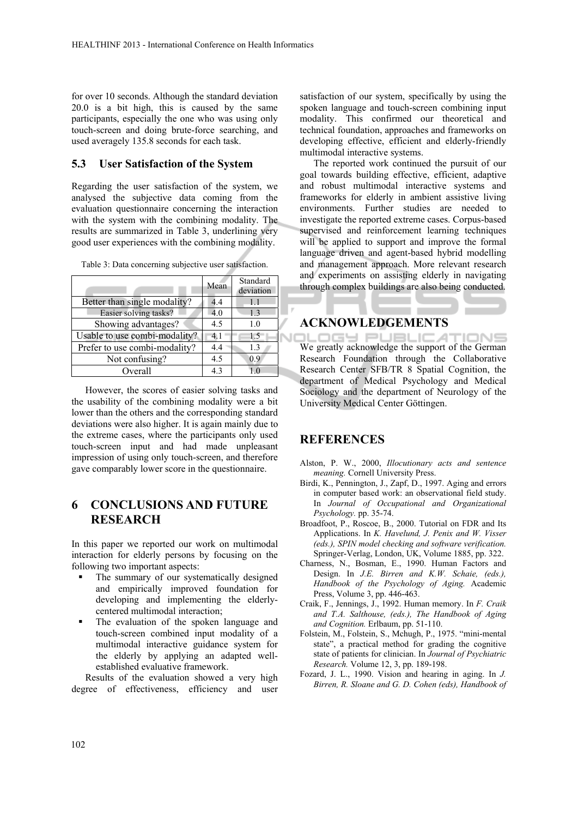for over 10 seconds. Although the standard deviation 20.0 is a bit high, this is caused by the same participants, especially the one who was using only touch-screen and doing brute-force searching, and used averagely 135.8 seconds for each task.

### **5.3 User Satisfaction of the System**

Regarding the user satisfaction of the system, we analysed the subjective data coming from the evaluation questionnaire concerning the interaction with the system with the combining modality. The results are summarized in Table 3, underlining very good user experiences with the combining modality.

Table 3: Data concerning subjective user satisfaction.

|                               | Mean | Standard<br>deviation |
|-------------------------------|------|-----------------------|
| Better than single modality?  | 4.4  | 1.1                   |
| Easier solving tasks?         | 4.0  | 1.3                   |
| Showing advantages?           | 4.5  | 1.0                   |
| Usable to use combi-modality? | 4.1  | 1.5                   |
| Prefer to use combi-modality? | 4.4  | 1.3                   |
| Not confusing?                | 4.5  | 0.9                   |
| Overall                       | 43   |                       |

However, the scores of easier solving tasks and the usability of the combining modality were a bit lower than the others and the corresponding standard deviations were also higher. It is again mainly due to the extreme cases, where the participants only used touch-screen input and had made unpleasant impression of using only touch-screen, and therefore gave comparably lower score in the questionnaire.

# **6 CONCLUSIONS AND FUTURE RESEARCH**

In this paper we reported our work on multimodal interaction for elderly persons by focusing on the following two important aspects:

- The summary of our systematically designed and empirically improved foundation for developing and implementing the elderlycentered multimodal interaction;
- The evaluation of the spoken language and touch-screen combined input modality of a multimodal interactive guidance system for the elderly by applying an adapted wellestablished evaluative framework.

Results of the evaluation showed a very high degree of effectiveness, efficiency and user

satisfaction of our system, specifically by using the spoken language and touch-screen combining input modality. This confirmed our theoretical and technical foundation, approaches and frameworks on developing effective, efficient and elderly-friendly multimodal interactive systems.

The reported work continued the pursuit of our goal towards building effective, efficient, adaptive and robust multimodal interactive systems and frameworks for elderly in ambient assistive living environments. Further studies are needed to investigate the reported extreme cases. Corpus-based supervised and reinforcement learning techniques will be applied to support and improve the formal language driven and agent-based hybrid modelling and management approach. More relevant research and experiments on assisting elderly in navigating through complex buildings are also being conducted.

### **ACKNOWLEDGEMENTS**

LOGY PUBLICATIONS We greatly acknowledge the support of the German Research Foundation through the Collaborative Research Center SFB/TR 8 Spatial Cognition, the department of Medical Psychology and Medical Sociology and the department of Neurology of the University Medical Center Göttingen.

## **REFERENCES**

- Alston, P. W., 2000, *Illocutionary acts and sentence meaning.* Cornell University Press.
- Birdi, K., Pennington, J., Zapf, D., 1997. Aging and errors in computer based work: an observational field study. In *Journal of Occupational and Organizational Psychology.* pp. 35-74.
- Broadfoot, P., Roscoe, B., 2000. Tutorial on FDR and Its Applications. In *K. Havelund, J. Penix and W. Visser (eds.), SPIN model checking and software verification.*  Springer-Verlag, London, UK, Volume 1885, pp. 322.
- Charness, N., Bosman, E., 1990. Human Factors and Design. In *J.E. Birren and K.W. Schaie, (eds.), Handbook of the Psychology of Aging.* Academic Press, Volume 3, pp. 446-463.
- Craik, F., Jennings, J., 1992. Human memory. In *F. Craik and T.A. Salthouse, (eds.), The Handbook of Aging and Cognition.* Erlbaum, pp. 51-110.
- Folstein, M., Folstein, S., Mchugh, P., 1975. "mini-mental state", a practical method for grading the cognitive state of patients for clinician. In *Journal of Psychiatric Research.* Volume 12, 3, pp. 189-198.
- Fozard, J. L., 1990. Vision and hearing in aging. In *J. Birren, R. Sloane and G. D. Cohen (eds), Handbook of*